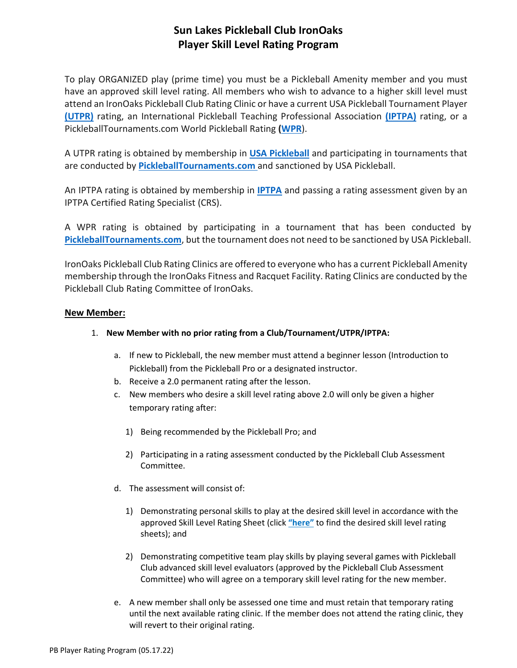# **Sun Lakes Pickleball Club IronOaks Player Skill Level Rating Program**

To play ORGANIZED play (prime time) you must be a Pickleball Amenity member and you must have an approved skill level rating. All members who wish to advance to a higher skill level must attend an IronOaks Pickleball Club Rating Clinic or have a current USA Pickleball Tournament Player **[\(UTPR\)](https://usapickleball.org/tournaments/tournament-player-ratings/)** rating, an International Pickleball Teaching Professional Association **[\(IPTPA\)](https://iptpa.com/iptpa-rating-faq/)** rating, or a PickleballTournaments.com World Pickleball Rating **[\(WPR](https://www.pickleballtournaments.com/ratings.pl)**).

A UTPR rating is obtained by membership in **[USA Pickleball](https://usapickleball.org/)** and participating in tournaments that are conducted by **[PickleballTournaments.com](https://www.pickleballtournaments.com/)** and sanctioned by USA Pickleball.

An IPTPA rating is obtained by membership in **[IPTPA](https://iptpa.com/)** and passing a rating assessment given by an IPTPA Certified Rating Specialist (CRS).

A WPR rating is obtained by participating in a tournament that has been conducted by **[PickleballTournaments.com](https://www.pickleballtournaments.com/)**, but the tournament does not need to be sanctioned by USA Pickleball.

IronOaks Pickleball Club Rating Clinics are offered to everyone who has a current Pickleball Amenity membership through the IronOaks Fitness and Racquet Facility. Rating Clinics are conducted by the Pickleball Club Rating Committee of IronOaks.

### **New Member:**

- 1. **New Member with no prior rating from a Club/Tournament/UTPR/IPTPA:**
	- a. If new to Pickleball, the new member must attend a beginner lesson (Introduction to Pickleball) from the Pickleball Pro or a designated instructor.
	- b. Receive a 2.0 permanent rating after the lesson.
	- c. New members who desire a skill level rating above 2.0 will only be given a higher temporary rating after:
		- 1) Being recommended by the Pickleball Pro; and
		- 2) Participating in a rating assessment conducted by the Pickleball Club Assessment Committee.
	- d. The assessment will consist of:
		- 1) Demonstrating personal skills to play at the desired skill level in accordance with the approved Skill Level Rating Sheet (click **["here"](https://www.ironoakspickleball.com/playerdevelopment)** to find the desired skill level rating sheets); and
		- 2) Demonstrating competitive team play skills by playing several games with Pickleball Club advanced skill level evaluators (approved by the Pickleball Club Assessment Committee) who will agree on a temporary skill level rating for the new member.
	- e. A new member shall only be assessed one time and must retain that temporary rating until the next available rating clinic. If the member does not attend the rating clinic, they will revert to their original rating.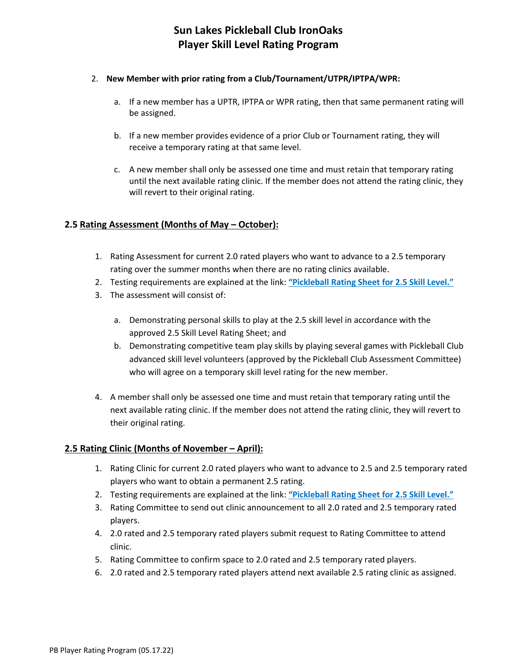#### 2. **New Member with prior rating from a Club/Tournament/UTPR/IPTPA/WPR:**

- a. If a new member has a UPTR, IPTPA or WPR rating, then that same permanent rating will be assigned.
- b. If a new member provides evidence of a prior Club or Tournament rating, they will receive a temporary rating at that same level.
- c. A new member shall only be assessed one time and must retain that temporary rating until the next available rating clinic. If the member does not attend the rating clinic, they will revert to their original rating.

## **2.5 Rating Assessment (Months of May – October):**

- 1. Rating Assessment for current 2.0 rated players who want to advance to a 2.5 temporary rating over the summer months when there are no rating clinics available.
- 2. Testing requirements are explained at the link: **["Pickleball Rating Sheet](https://www.ironoakspickleball.com/_files/ugd/74eef5_1ed74c543be64771add88925a792d986.pdf) for 2.5 Skill Level."**
- 3. The assessment will consist of:
	- a. Demonstrating personal skills to play at the 2.5 skill level in accordance with the approved 2.5 Skill Level Rating Sheet; and
	- b. Demonstrating competitive team play skills by playing several games with Pickleball Club advanced skill level volunteers (approved by the Pickleball Club Assessment Committee) who will agree on a temporary skill level rating for the new member.
- 4. A member shall only be assessed one time and must retain that temporary rating until the next available rating clinic. If the member does not attend the rating clinic, they will revert to their original rating.

### **2.5 Rating Clinic (Months of November – April):**

- 1. Rating Clinic for current 2.0 rated players who want to advance to 2.5 and 2.5 temporary rated players who want to obtain a permanent 2.5 rating.
- 2. Testing requirements are explained at the link: **["Pickleball Rating Sheet](https://www.ironoakspickleball.com/_files/ugd/74eef5_1ed74c543be64771add88925a792d986.pdf) for 2.5 Skill Level."**
- 3. Rating Committee to send out clinic announcement to all 2.0 rated and 2.5 temporary rated players.
- 4. 2.0 rated and 2.5 temporary rated players submit request to Rating Committee to attend clinic.
- 5. Rating Committee to confirm space to 2.0 rated and 2.5 temporary rated players.
- 6. 2.0 rated and 2.5 temporary rated players attend next available 2.5 rating clinic as assigned.